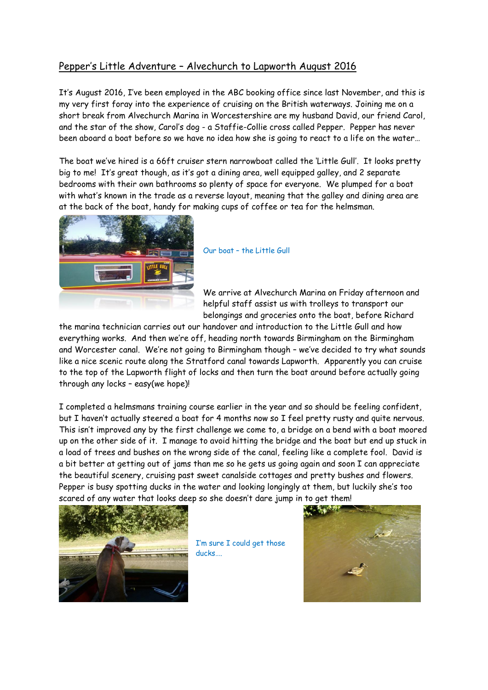## Pepper's Little Adventure – Alvechurch to Lapworth August 2016

It's August 2016, I've been employed in the ABC booking office since last November, and this is my very first foray into the experience of cruising on the British waterways. Joining me on a short break from Alvechurch Marina in Worcestershire are my husband David, our friend Carol, and the star of the show, Carol's dog - a Staffie-Collie cross called Pepper. Pepper has never been aboard a boat before so we have no idea how she is going to react to a life on the water…

The boat we've hired is a 66ft cruiser stern narrowboat called the 'Little Gull'. It looks pretty big to me! It's great though, as it's got a dining area, well equipped galley, and 2 separate bedrooms with their own bathrooms so plenty of space for everyone. We plumped for a boat with what's known in the trade as a reverse layout, meaning that the galley and dining area are at the back of the boat, handy for making cups of coffee or tea for the helmsman.



Our boat – the Little Gull

We arrive at Alvechurch Marina on Friday afternoon and helpful staff assist us with trolleys to transport our belongings and groceries onto the boat, before Richard

the marina technician carries out our handover and introduction to the Little Gull and how everything works. And then we're off, heading north towards Birmingham on the Birmingham and Worcester canal. We're not going to Birmingham though – we've decided to try what sounds like a nice scenic route along the Stratford canal towards Lapworth. Apparently you can cruise to the top of the Lapworth flight of locks and then turn the boat around before actually going through any locks – easy(we hope)!

I completed a helmsmans training course earlier in the year and so should be feeling confident, but I haven't actually steered a boat for 4 months now so I feel pretty rusty and quite nervous. This isn't improved any by the first challenge we come to, a bridge on a bend with a boat moored up on the other side of it. I manage to avoid hitting the bridge and the boat but end up stuck in a load of trees and bushes on the wrong side of the canal, feeling like a complete fool. David is a bit better at getting out of jams than me so he gets us going again and soon I can appreciate the beautiful scenery, cruising past sweet canalside cottages and pretty bushes and flowers. Pepper is busy spotting ducks in the water and looking longingly at them, but luckily she's too scared of any water that looks deep so she doesn't dare jump in to get them!



I'm sure I could get those ducks….

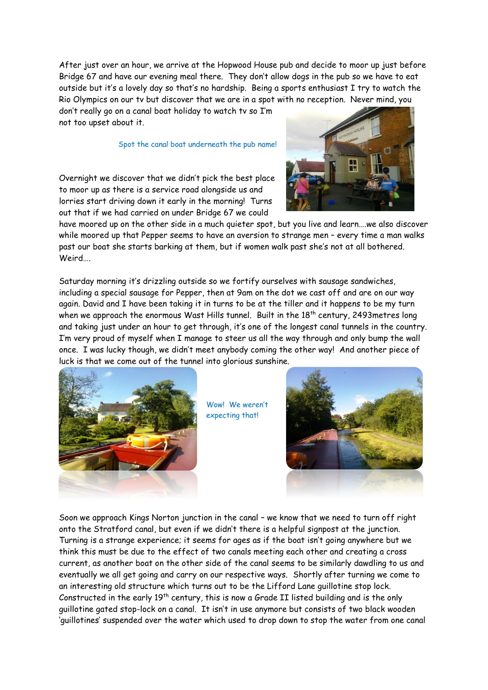After just over an hour, we arrive at the Hopwood House pub and decide to moor up just before Bridge 67 and have our evening meal there. They don't allow dogs in the pub so we have to eat outside but it's a lovely day so that's no hardship. Being a sports enthusiast I try to watch the Rio Olympics on our tv but discover that we are in a spot with no reception. Never mind, you

don't really go on a canal boat holiday to watch tv so I'm not too upset about it.

## Spot the canal boat underneath the pub name!

Overnight we discover that we didn't pick the best place to moor up as there is a service road alongside us and lorries start driving down it early in the morning! Turns out that if we had carried on under Bridge 67 we could



have moored up on the other side in a much quieter spot, but you live and learn….we also discover while moored up that Pepper seems to have an aversion to strange men – every time a man walks past our boat she starts barking at them, but if women walk past she's not at all bothered. Weird….

Saturday morning it's drizzling outside so we fortify ourselves with sausage sandwiches, including a special sausage for Pepper, then at 9am on the dot we cast off and are on our way again. David and I have been taking it in turns to be at the tiller and it happens to be my turn when we approach the enormous Wast Hills tunnel. Built in the 18<sup>th</sup> century, 2493metres long and taking just under an hour to get through, it's one of the longest canal tunnels in the country. I'm very proud of myself when I manage to steer us all the way through and only bump the wall once. I was lucky though, we didn't meet anybody coming the other way! And another piece of luck is that we come out of the tunnel into glorious sunshine.



Wow! We weren't expecting that!



Soon we approach Kings Norton junction in the canal – we know that we need to turn off right onto the Stratford canal, but even if we didn't there is a helpful signpost at the junction. Turning is a strange experience; it seems for ages as if the boat isn't going anywhere but we think this must be due to the effect of two canals meeting each other and creating a cross current, as another boat on the other side of the canal seems to be similarly dawdling to us and eventually we all get going and carry on our respective ways. Shortly after turning we come to an interesting old structure which turns out to be the Lifford Lane guillotine stop lock. Constructed in the early  $19<sup>th</sup>$  century, this is now a Grade II listed building and is the only guillotine gated stop-lock on a canal. It isn't in use anymore but consists of two black wooden 'guillotines' suspended over the water which used to drop down to stop the water from one canal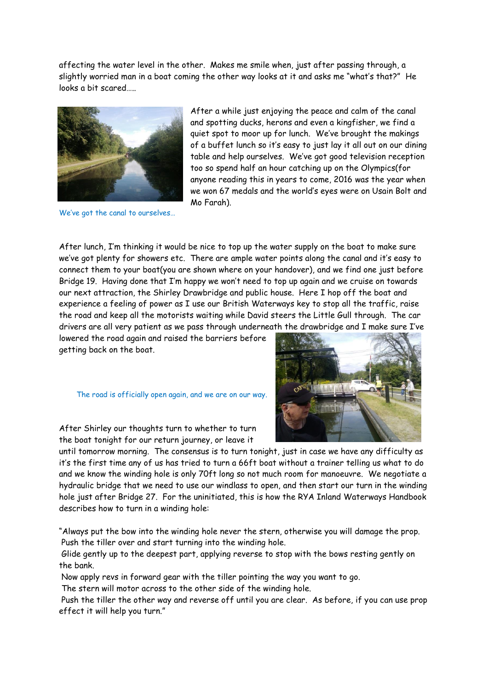affecting the water level in the other. Makes me smile when, just after passing through, a slightly worried man in a boat coming the other way looks at it and asks me "what's that?" He looks a bit scared…..



We've got the canal to ourselves…

After a while just enjoying the peace and calm of the canal and spotting ducks, herons and even a kingfisher, we find a quiet spot to moor up for lunch. We've brought the makings of a buffet lunch so it's easy to just lay it all out on our dining table and help ourselves. We've got good television reception too so spend half an hour catching up on the Olympics(for anyone reading this in years to come, 2016 was the year when we won 67 medals and the world's eyes were on Usain Bolt and Mo Farah).

After lunch, I'm thinking it would be nice to top up the water supply on the boat to make sure we've got plenty for showers etc. There are ample water points along the canal and it's easy to connect them to your boat(you are shown where on your handover), and we find one just before Bridge 19. Having done that I'm happy we won't need to top up again and we cruise on towards our next attraction, the Shirley Drawbridge and public house. Here I hop off the boat and experience a feeling of power as I use our British Waterways key to stop all the traffic, raise the road and keep all the motorists waiting while David steers the Little Gull through. The car drivers are all very patient as we pass through underneath the drawbridge and I make sure I've

lowered the road again and raised the barriers before getting back on the boat.

## The road is officially open again, and we are on our way.



After Shirley our thoughts turn to whether to turn the boat tonight for our return journey, or leave it

until tomorrow morning. The consensus is to turn tonight, just in case we have any difficulty as it's the first time any of us has tried to turn a 66ft boat without a trainer telling us what to do and we know the winding hole is only 70ft long so not much room for manoeuvre. We negotiate a hydraulic bridge that we need to use our windlass to open, and then start our turn in the winding hole just after Bridge 27. For the uninitiated, this is how the RYA Inland Waterways Handbook describes how to turn in a winding hole:

"Always put the bow into the winding hole never the stern, otherwise you will damage the prop. Push the tiller over and start turning into the winding hole.

Glide gently up to the deepest part, applying reverse to stop with the bows resting gently on the bank.

Now apply revs in forward gear with the tiller pointing the way you want to go.

The stern will motor across to the other side of the winding hole.

Push the tiller the other way and reverse off until you are clear. As before, if you can use prop effect it will help you turn."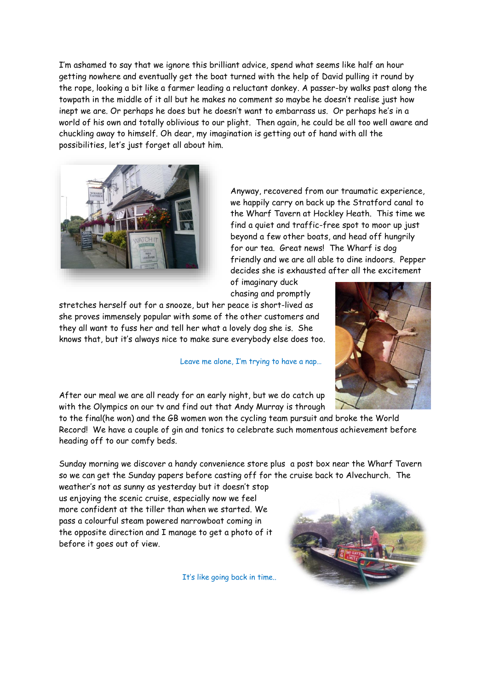I'm ashamed to say that we ignore this brilliant advice, spend what seems like half an hour getting nowhere and eventually get the boat turned with the help of David pulling it round by the rope, looking a bit like a farmer leading a reluctant donkey. A passer-by walks past along the towpath in the middle of it all but he makes no comment so maybe he doesn't realise just how inept we are. Or perhaps he does but he doesn't want to embarrass us. Or perhaps he's in a world of his own and totally oblivious to our plight. Then again, he could be all too well aware and chuckling away to himself. Oh dear, my imagination is getting out of hand with all the possibilities, let's just forget all about him.



Anyway, recovered from our traumatic experience, we happily carry on back up the Stratford canal to the Wharf Tavern at Hockley Heath. This time we find a quiet and traffic-free spot to moor up just beyond a few other boats, and head off hungrily for our tea. Great news! The Wharf is dog friendly and we are all able to dine indoors. Pepper decides she is exhausted after all the excitement

of imaginary duck chasing and promptly

stretches herself out for a snooze, but her peace is short-lived as she proves immensely popular with some of the other customers and they all want to fuss her and tell her what a lovely dog she is. She knows that, but it's always nice to make sure everybody else does too.

Leave me alone, I'm trying to have a nap…



After our meal we are all ready for an early night, but we do catch up with the Olympics on our tv and find out that Andy Murray is through

to the final(he won) and the GB women won the cycling team pursuit and broke the World Record! We have a couple of gin and tonics to celebrate such momentous achievement before heading off to our comfy beds.

Sunday morning we discover a handy convenience store plus a post box near the Wharf Tavern so we can get the Sunday papers before casting off for the cruise back to Alvechurch. The

weather's not as sunny as yesterday but it doesn't stop us enjoying the scenic cruise, especially now we feel more confident at the tiller than when we started. We pass a colourful steam powered narrowboat coming in the opposite direction and I manage to get a photo of it before it goes out of view.

It's like going back in time..